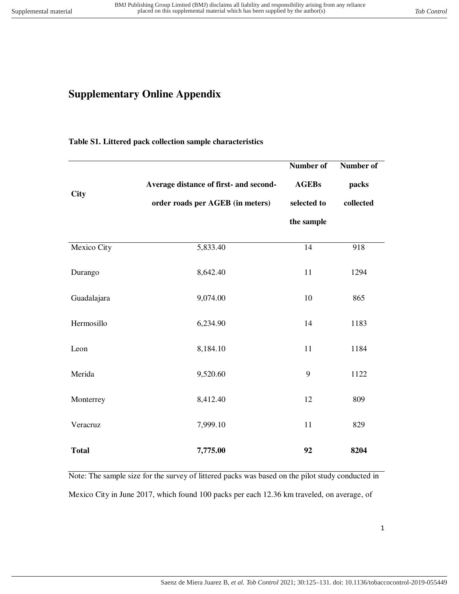# **Supplementary Online Appendix**

## **Table S1. Littered pack collection sample characteristics**

|                    |                                        | Number of    | Number of |
|--------------------|----------------------------------------|--------------|-----------|
| <b>City</b>        | Average distance of first- and second- | <b>AGEBs</b> | packs     |
|                    | order roads per AGEB (in meters)       | selected to  | collected |
|                    |                                        | the sample   |           |
| <b>Mexico City</b> | 5,833.40                               | 14           | 918       |
| Durango            | 8,642.40                               | 11           | 1294      |
| Guadalajara        | 9,074.00                               | 10           | 865       |
| Hermosillo         | 6,234.90                               | 14           | 1183      |
| Leon               | 8,184.10                               | 11           | 1184      |
| Merida             | 9,520.60                               | 9            | 1122      |
| Monterrey          | 8,412.40                               | 12           | 809       |
| Veracruz           | 7,999.10                               | 11           | 829       |
| <b>Total</b>       | 7,775.00                               | 92           | 8204      |

Note: The sample size for the survey of littered packs was based on the pilot study conducted in Mexico City in June 2017, which found 100 packs per each 12.36 km traveled, on average, of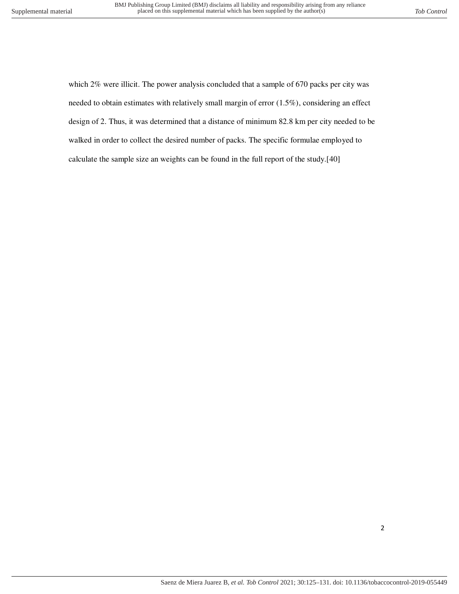which 2% were illicit. The power analysis concluded that a sample of 670 packs per city was needed to obtain estimates with relatively small margin of error (1.5%), considering an effect design of 2. Thus, it was determined that a distance of minimum 82.8 km per city needed to be walked in order to collect the desired number of packs. The specific formulae employed to calculate the sample size an weights can be found in the full report of the study.[40]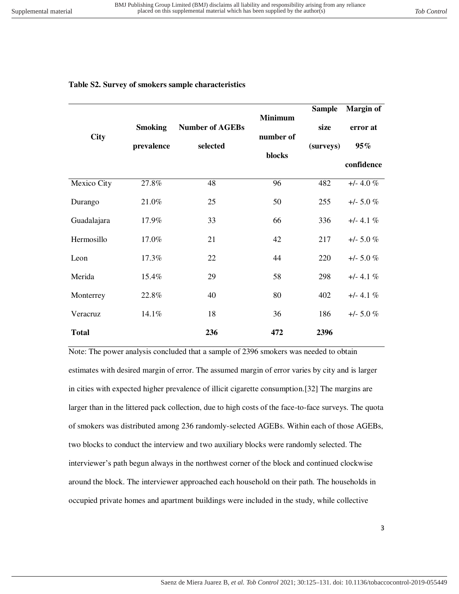## **Table S2. Survey of smokers sample characteristics**

| <b>City</b>  | <b>Smoking</b><br>prevalence | <b>Number of AGEBs</b><br>selected | <b>Minimum</b><br>number of<br>blocks | <b>Sample</b><br>size<br>(surveys) | <b>Margin of</b><br>error at<br>95%<br>confidence |
|--------------|------------------------------|------------------------------------|---------------------------------------|------------------------------------|---------------------------------------------------|
| Mexico City  | 27.8%                        | 48                                 | 96                                    | 482                                | $+/- 4.0 \%$                                      |
| Durango      | 21.0%                        | 25                                 | 50                                    | 255                                | $+/- 5.0 \%$                                      |
| Guadalajara  | 17.9%                        | 33                                 | 66                                    | 336                                | $+/- 4.1 \%$                                      |
| Hermosillo   | 17.0%                        | 21                                 | 42                                    | 217                                | $+/- 5.0 \%$                                      |
| Leon         | 17.3%                        | 22                                 | 44                                    | 220                                | $+/- 5.0 \%$                                      |
| Merida       | 15.4%                        | 29                                 | 58                                    | 298                                | $+/- 4.1 \%$                                      |
| Monterrey    | 22.8%                        | 40                                 | 80                                    | 402                                | $+/- 4.1 \%$                                      |
| Veracruz     | 14.1%                        | 18                                 | 36                                    | 186                                | $+/- 5.0 \%$                                      |
| <b>Total</b> |                              | 236                                | 472                                   | 2396                               |                                                   |

Note: The power analysis concluded that a sample of 2396 smokers was needed to obtain estimates with desired margin of error. The assumed margin of error varies by city and is larger in cities with expected higher prevalence of illicit cigarette consumption.[32] The margins are larger than in the littered pack collection, due to high costs of the face-to-face surveys. The quota of smokers was distributed among 236 randomly-selected AGEBs. Within each of those AGEBs, two blocks to conduct the interview and two auxiliary blocks were randomly selected. The interviewer's path begun always in the northwest corner of the block and continued clockwise around the block. The interviewer approached each household on their path. The households in occupied private homes and apartment buildings were included in the study, while collective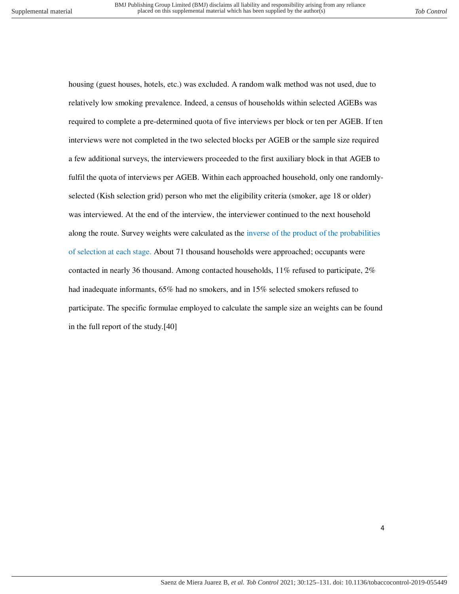housing (guest houses, hotels, etc.) was excluded. A random walk method was not used, due to relatively low smoking prevalence. Indeed, a census of households within selected AGEBs was required to complete a pre-determined quota of five interviews per block or ten per AGEB. If ten interviews were not completed in the two selected blocks per AGEB or the sample size required a few additional surveys, the interviewers proceeded to the first auxiliary block in that AGEB to fulfil the quota of interviews per AGEB. Within each approached household, only one randomlyselected (Kish selection grid) person who met the eligibility criteria (smoker, age 18 or older) was interviewed. At the end of the interview, the interviewer continued to the next household along the route. Survey weights were calculated as the inverse of the product of the probabilities of selection at each stage. About 71 thousand households were approached; occupants were contacted in nearly 36 thousand. Among contacted households, 11% refused to participate, 2% had inadequate informants, 65% had no smokers, and in 15% selected smokers refused to participate. The specific formulae employed to calculate the sample size an weights can be found in the full report of the study.[40]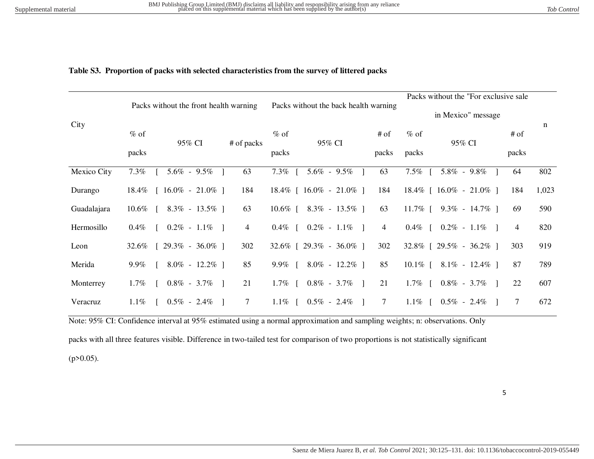### **Table S3. Proportion of packs with selected characteristics from the survey of littered packs**

|             |          |                                        |            |                                       |                                |                    |                 | Packs without the "For exclusive sale" |       |       |
|-------------|----------|----------------------------------------|------------|---------------------------------------|--------------------------------|--------------------|-----------------|----------------------------------------|-------|-------|
|             |          | Packs without the front health warning |            | Packs without the back health warning |                                | in Mexico" message |                 |                                        |       |       |
| City        | $%$ of   | 95% CI                                 | # of packs | $%$ of                                | 95% CI                         | $#$ of             | $%$ of          | 95% CI                                 | # of  | n     |
|             | packs    |                                        |            | packs                                 |                                | packs              | packs           |                                        | packs |       |
| Mexico City | 7.3%     | $5.6\% - 9.5\%$                        | 63         | $7.3\%$                               | $5.6\% - 9.5\%$                | 63                 | $7.5\%$         | $5.8\% - 9.8\%$                        | 64    | 802   |
| Durango     | $18.4\%$ | $16.0\% - 21.0\%$ ]                    | 184        |                                       | $18.4\%$ [ $16.0\%$ - 21.0\% ] | 184                |                 | $18.4\%$ [ $16.0\%$ - 21.0\% ]         | 184   | 1,023 |
| Guadalajara | $10.6\%$ | $8.3\% - 13.5\%$ ]                     | 63         | 10.6% [                               | $8.3\% - 13.5\%$               | 63                 |                 | $11.7\%$   $9.3\%$ - $14.7\%$          | 69    | 590   |
| Hermosillo  | $0.4\%$  | $0.2\% - 1.1\%$                        | 4          | $0.4\%$                               | $0.2\% - 1.1\%$ ]              | $\overline{4}$     | $0.4\%$ [       | $0.2\% - 1.1\%$                        | 4     | 820   |
| Leon        | 32.6%    | $29.3\% - 36.0\%$ ]                    | 302        |                                       | $32.6\%$ [ 29.3\% - 36.0\% ]   | 302                |                 | $32.8\%$ [ 29.5\% - 36.2\% ]           | 303   | 919   |
| Merida      | $9.9\%$  | $8.0\% - 12.2\%$                       | 85         | 9.9%                                  | $8.0\% - 12.2\%$               | 85                 | 10.1\% $\lceil$ | $8.1\% - 12.4\%$                       | 87    | 789   |
| Monterrey   | $1.7\%$  | $0.8\% - 3.7\%$                        | 21         | $1.7\%$                               | $0.8\% - 3.7\%$                | 21                 | 1.7% $\lceil$   | $0.8\%$ - 3.7%<br>$\blacksquare$       | 22    | 607   |
| Veracruz    | $1.1\%$  | $0.5\% - 2.4\%$                        | 7          | $1.1\%$                               | $0.5\% - 2.4\%$                | 7                  | 1.1\% $\lceil$  | $0.5\% - 2.4\%$                        | 7     | 672   |

Note: 95% CI: Confidence interval at 95% estimated using a normal approximation and sampling weights; n: observations. Only

packs with all three features visible. Difference in two-tailed test for comparison of two proportions is not statistically significant

 $(p>0.05)$ .